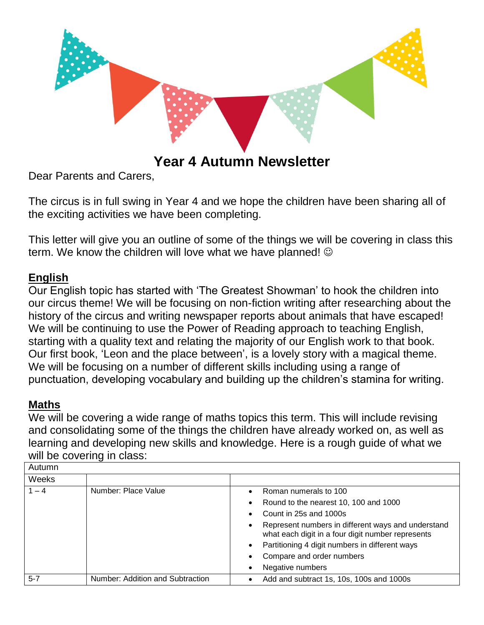

# **Year 4 Autumn Newsletter**

Dear Parents and Carers,

The circus is in full swing in Year 4 and we hope the children have been sharing all of the exciting activities we have been completing.

This letter will give you an outline of some of the things we will be covering in class this term. We know the children will love what we have planned!  $\odot$ 

# **English**

Our English topic has started with 'The Greatest Showman' to hook the children into our circus theme! We will be focusing on non-fiction writing after researching about the history of the circus and writing newspaper reports about animals that have escaped! We will be continuing to use the Power of Reading approach to teaching English, starting with a quality text and relating the majority of our English work to that book. Our first book, 'Leon and the place between', is a lovely story with a magical theme. We will be focusing on a number of different skills including using a range of punctuation, developing vocabulary and building up the children's stamina for writing.

# **Maths**

We will be covering a wide range of maths topics this term. This will include revising and consolidating some of the things the children have already worked on, as well as learning and developing new skills and knowledge. Here is a rough guide of what we will be covering in class:

| Autumn  |                                  |                                                                                                              |  |
|---------|----------------------------------|--------------------------------------------------------------------------------------------------------------|--|
| Weeks   |                                  |                                                                                                              |  |
| $1 - 4$ | Number: Place Value              | Roman numerals to 100<br>$\bullet$<br>Round to the nearest 10, 100 and 1000<br>$\bullet$                     |  |
|         |                                  | Count in 25s and 1000s<br>$\bullet$                                                                          |  |
|         |                                  | Represent numbers in different ways and understand<br>٠<br>what each digit in a four digit number represents |  |
|         |                                  | Partitioning 4 digit numbers in different ways<br>$\bullet$                                                  |  |
|         |                                  | Compare and order numbers<br>$\bullet$                                                                       |  |
|         |                                  | Negative numbers<br>$\bullet$                                                                                |  |
| $5 - 7$ | Number: Addition and Subtraction | Add and subtract 1s, 10s, 100s and 1000s                                                                     |  |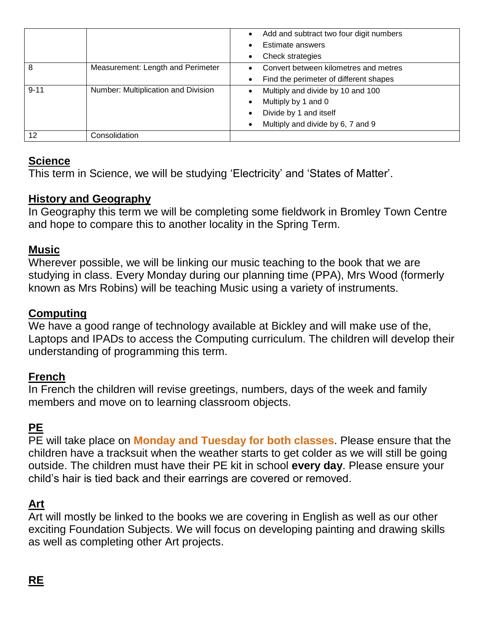|          |                                     | Add and subtract two four digit numbers |
|----------|-------------------------------------|-----------------------------------------|
|          |                                     | Estimate answers                        |
|          |                                     | Check strategies                        |
| 8        | Measurement: Length and Perimeter   | Convert between kilometres and metres   |
|          |                                     | Find the perimeter of different shapes  |
| $9 - 11$ | Number: Multiplication and Division | Multiply and divide by 10 and 100       |
|          |                                     | Multiply by 1 and 0                     |
|          |                                     | Divide by 1 and itself                  |
|          |                                     | Multiply and divide by 6, 7 and 9       |
| 12       | Consolidation                       |                                         |

# **Science**

This term in Science, we will be studying 'Electricity' and 'States of Matter'.

## **History and Geography**

In Geography this term we will be completing some fieldwork in Bromley Town Centre and hope to compare this to another locality in the Spring Term.

#### **Music**

Wherever possible, we will be linking our music teaching to the book that we are studying in class. Every Monday during our planning time (PPA), Mrs Wood (formerly known as Mrs Robins) will be teaching Music using a variety of instruments.

#### **Computing**

We have a good range of technology available at Bickley and will make use of the, Laptops and IPADs to access the Computing curriculum. The children will develop their understanding of programming this term.

#### **French**

In French the children will revise greetings, numbers, days of the week and family members and move on to learning classroom objects.

# **PE**

PE will take place on **Monday and Tuesday for both classes**. Please ensure that the children have a tracksuit when the weather starts to get colder as we will still be going outside. The children must have their PE kit in school **every day**. Please ensure your child's hair is tied back and their earrings are covered or removed.

# **Art**

Art will mostly be linked to the books we are covering in English as well as our other exciting Foundation Subjects. We will focus on developing painting and drawing skills as well as completing other Art projects.